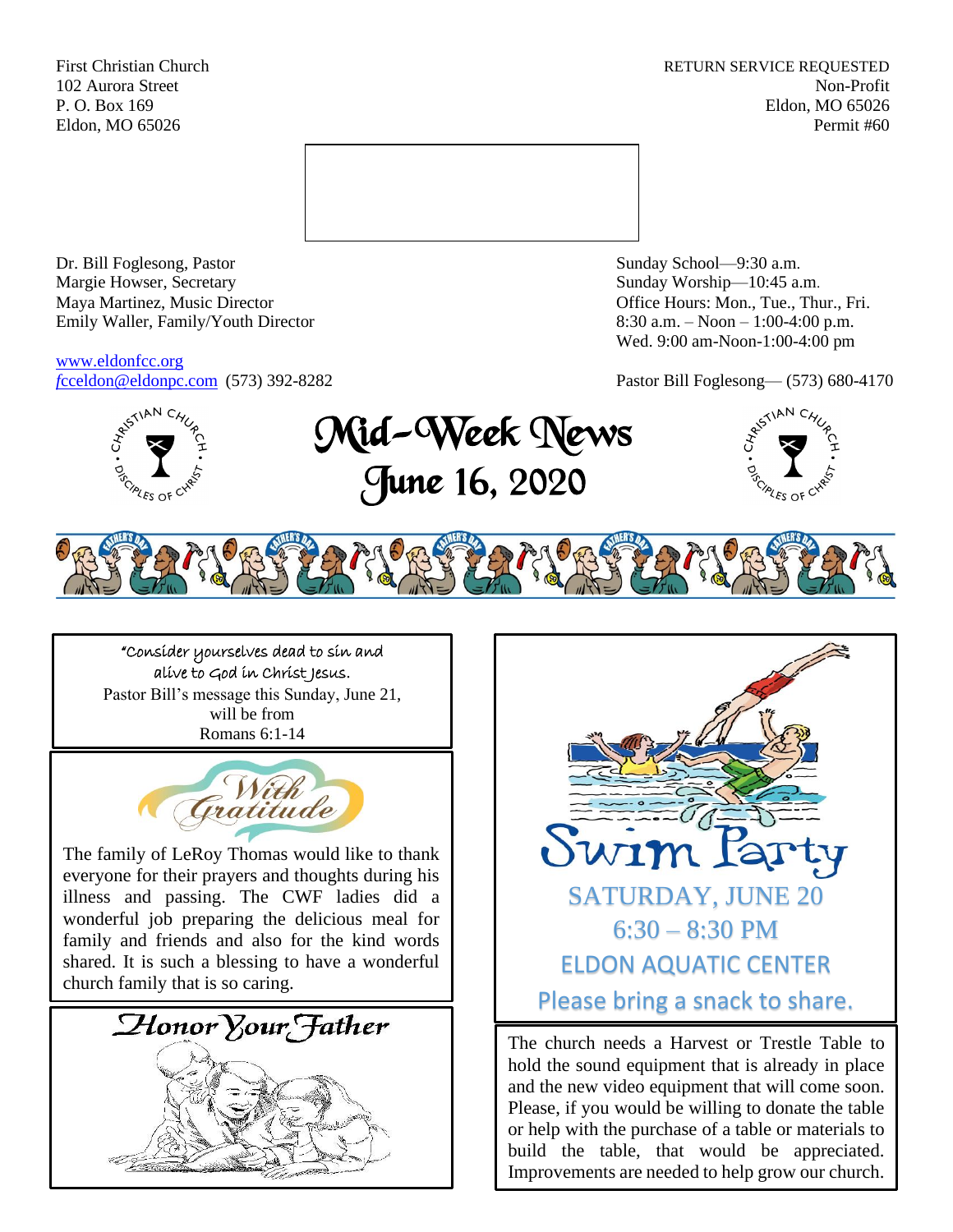First Christian Church **RETURN SERVICE REQUESTED** 102 Aurora Street Non-Profit P. O. Box 169 Eldon, MO 65026 Eldon, MO 65026 Permit #60



Dr. Bill Foglesong, Pastor Sunday School—9:30 a.m. Margie Howser, Secretary Sunday Worship—10:45 a.m. Maya Martinez, Music Director Office Hours: Mon., Tue., Thur., Fri. Emily Waller, Family/Youth Director 8:30 a.m. – Noon – 1:00-4:00 p.m.

[www.eldonfcc.org](http://www.eldonfcc.org/)

Wed. 9:00 am-Noon-1:00-4:00 pm

*f*[cceldon@eldonpc.com](mailto:fcceldon@eldonpc.com) (573) 392-8282 Pastor Bill Foglesong— (573) 680-4170



Mid-Week News June 16, 2020





"Consider yourselves dead to sin and alive to God in Christ Jesus. Pastor Bill's message this Sunday, June 21, will be from Romans 6:1-14



The family of LeRoy Thomas would like to thank everyone for their prayers and thoughts during his illness and passing. The CWF ladies did a wonderful job preparing the delicious meal for family and friends and also for the kind words shared. It is such a blessing to have a wonderful church family that is so caring.





The church needs a Harvest or Trestle Table to hold the sound equipment that is already in place and the new video equipment that will come soon. Please, if you would be willing to donate the table or help with the purchase of a table or materials to build the table, that would be appreciated. Improvements are needed to help grow our church.